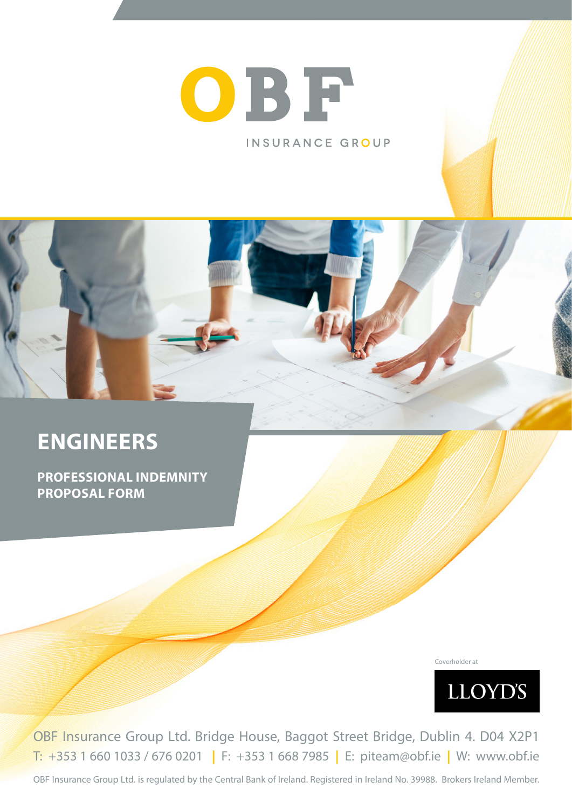



# **ENGINEERS**

**PROFESSIONAL INDEMNITY PROPOSAL FORM**

Coverholder at



OBF Insurance Group Ltd. Bridge House, Baggot Street Bridge, Dublin 4. D04 X2P1 T: +353 1 660 1033 / 676 0201 **|** F: +353 1 668 7985 **|** E: piteam@obf.ie **|** W: www.obf.ie

OBF Insurance Group Ltd. is regulated by the Central Bank of Ireland. Registered in Ireland No. 39988. Brokers Ireland Member.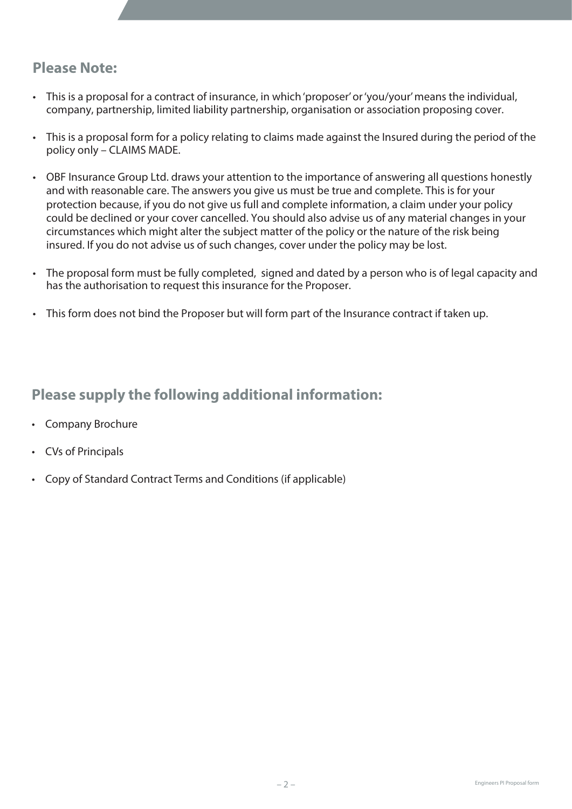# **Please Note:**

- This is a proposal for a contract of insurance, in which 'proposer' or 'you/your' means the individual, company, partnership, limited liability partnership, organisation or association proposing cover.
- This is a proposal form for a policy relating to claims made against the Insured during the period of the policy only – CLAIMS MADE.
- OBF Insurance Group Ltd. draws your attention to the importance of answering all questions honestly and with reasonable care. The answers you give us must be true and complete. This is for your protection because, if you do not give us full and complete information, a claim under your policy could be declined or your cover cancelled. You should also advise us of any material changes in your circumstances which might alter the subject matter of the policy or the nature of the risk being insured. If you do not advise us of such changes, cover under the policy may be lost.
- The proposal form must be fully completed, signed and dated by a person who is of legal capacity and has the authorisation to request this insurance for the Proposer.
- This form does not bind the Proposer but will form part of the Insurance contract if taken up.

### **Please supply the following additional information:**

- Company Brochure
- CVs of Principals
- Copy of Standard Contract Terms and Conditions (if applicable)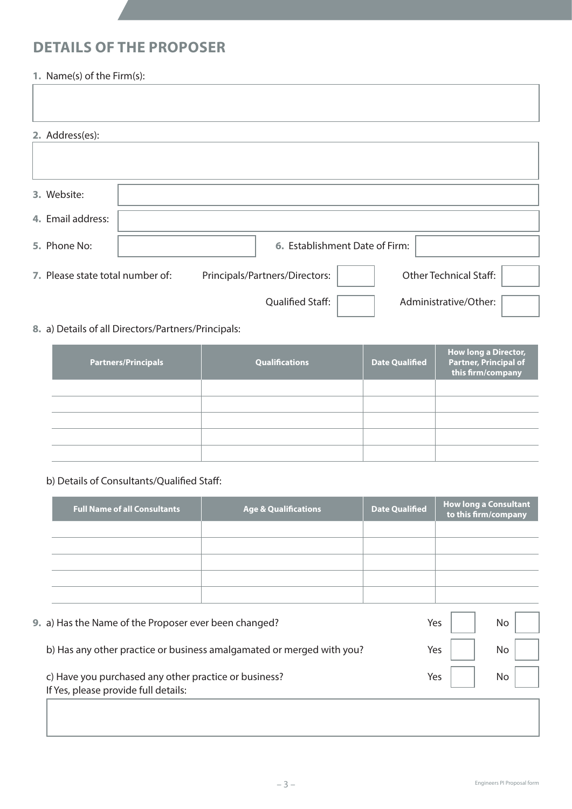# **DETAILS OF THE PROPOSER**

### **1.** Name(s) of the Firm(s):

| 2. Address(es):                  |                                |                               |  |
|----------------------------------|--------------------------------|-------------------------------|--|
|                                  |                                |                               |  |
| 3. Website:                      |                                |                               |  |
| 4. Email address:                |                                |                               |  |
| 5. Phone No:                     | 6. Establishment Date of Firm: |                               |  |
| 7. Please state total number of: | Principals/Partners/Directors: | <b>Other Technical Staff:</b> |  |
|                                  | Qualified Staff:               | Administrative/Other:         |  |

### **8.** a) Details of all Directors/Partners/Principals:

| <b>Partners/Principals</b> | <b>Qualifications</b> | <b>Date Qualified</b> | <b>How long a Director,</b><br><b>Partner, Principal of</b><br>this firm/company |
|----------------------------|-----------------------|-----------------------|----------------------------------------------------------------------------------|
|                            |                       |                       |                                                                                  |
|                            |                       |                       |                                                                                  |
|                            |                       |                       |                                                                                  |
|                            |                       |                       |                                                                                  |
|                            |                       |                       |                                                                                  |

### b) Details of Consultants/Qualified Staff:

| <b>Full Name of all Consultants</b>                                   | <b>Age &amp; Qualifications</b> | <b>Date Qualified</b> |  | <b>How long a Consultant</b><br>to this firm/company |  |
|-----------------------------------------------------------------------|---------------------------------|-----------------------|--|------------------------------------------------------|--|
|                                                                       |                                 |                       |  |                                                      |  |
|                                                                       |                                 |                       |  |                                                      |  |
|                                                                       |                                 |                       |  |                                                      |  |
|                                                                       |                                 |                       |  |                                                      |  |
|                                                                       |                                 |                       |  |                                                      |  |
| 9. a) Has the Name of the Proposer ever been changed?                 |                                 | Yes                   |  | No                                                   |  |
| b) Has any other practice or business amalgamated or merged with you? | Yes                             | No                    |  |                                                      |  |
| c) Have you purchased any other practice or business?                 | Yes                             | No                    |  |                                                      |  |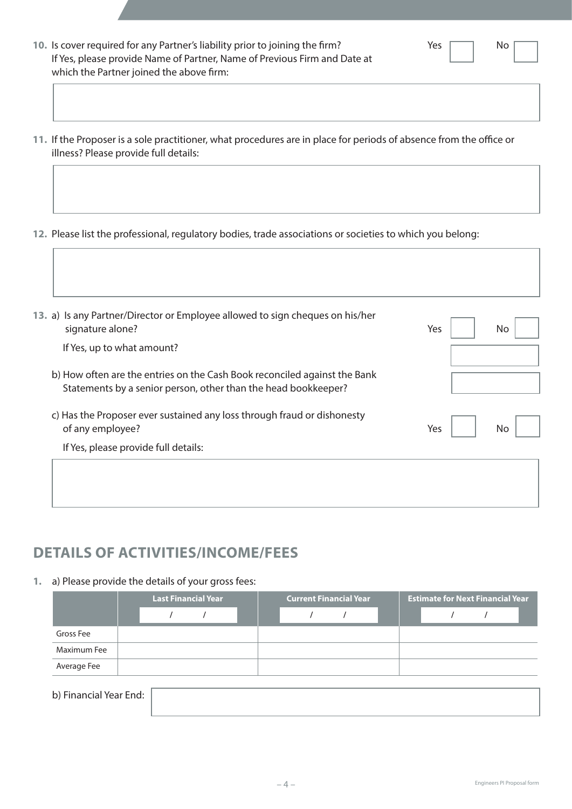| - 4 - | Engineers PI Proposal form |
|-------|----------------------------|
|-------|----------------------------|

- **10.** Is cover required for any Partner's liability prior to joining the firm? Yes Yes No If Yes, please provide Name of Partner, Name of Previous Firm and Date at which the Partner joined the above firm:
- **11.** If the Proposer is a sole practitioner, what procedures are in place for periods of absence from the office or illness? Please provide full details:
- **12.** Please list the professional, regulatory bodies, trade associations or societies to which you belong:

| 13. a) Is any Partner/Director or Employee allowed to sign cheques on his/her<br>signature alone?                                           | Yes<br>No |
|---------------------------------------------------------------------------------------------------------------------------------------------|-----------|
| If Yes, up to what amount?                                                                                                                  |           |
| b) How often are the entries on the Cash Book reconciled against the Bank<br>Statements by a senior person, other than the head bookkeeper? |           |
| c) Has the Proposer ever sustained any loss through fraud or dishonesty<br>of any employee?                                                 | Yes<br>No |
| If Yes, please provide full details:                                                                                                        |           |
|                                                                                                                                             |           |
|                                                                                                                                             |           |
|                                                                                                                                             |           |

# **DETAILS OF ACTIVITIES/INCOME/FEES**

**1.** a) Please provide the details of your gross fees:

|             | <b>Last Financial Year</b> |  |  | <b>Current Financial Year</b> |  |  |  | <b>Estimate for Next Financial Year</b> |  |  |  |  |  |
|-------------|----------------------------|--|--|-------------------------------|--|--|--|-----------------------------------------|--|--|--|--|--|
|             |                            |  |  |                               |  |  |  |                                         |  |  |  |  |  |
| Gross Fee   |                            |  |  |                               |  |  |  |                                         |  |  |  |  |  |
| Maximum Fee |                            |  |  |                               |  |  |  |                                         |  |  |  |  |  |
| Average Fee |                            |  |  |                               |  |  |  |                                         |  |  |  |  |  |
|             |                            |  |  |                               |  |  |  |                                         |  |  |  |  |  |

 b) Financial Year End: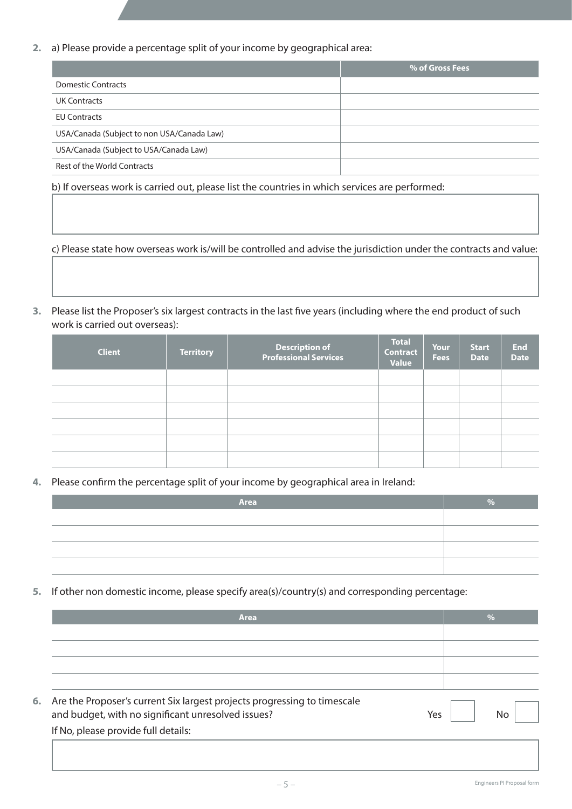**2.** a) Please provide a percentage split of your income by geographical area:

|                                            | % of Gross Fees |
|--------------------------------------------|-----------------|
| <b>Domestic Contracts</b>                  |                 |
| <b>UK Contracts</b>                        |                 |
| <b>EU Contracts</b>                        |                 |
| USA/Canada (Subject to non USA/Canada Law) |                 |
| USA/Canada (Subject to USA/Canada Law)     |                 |
| Rest of the World Contracts                |                 |

 b) If overseas work is carried out, please list the countries in which services are performed:

 c) Please state how overseas work is/will be controlled and advise the jurisdiction under the contracts and value:

**3.** Please list the Proposer's six largest contracts in the last five years (including where the end product of such work is carried out overseas):

| <b>Client</b> | <b>Territory</b> | Description of<br>Professional Services | <b>Total</b><br><b>Contract</b><br>Value | <b>Your</b><br><b>Fees</b> | <b>Start</b><br><b>Date</b> | <b>End</b><br><b>Date</b> |
|---------------|------------------|-----------------------------------------|------------------------------------------|----------------------------|-----------------------------|---------------------------|
|               |                  |                                         |                                          |                            |                             |                           |
|               |                  |                                         |                                          |                            |                             |                           |
|               |                  |                                         |                                          |                            |                             |                           |
|               |                  |                                         |                                          |                            |                             |                           |
|               |                  |                                         |                                          |                            |                             |                           |
|               |                  |                                         |                                          |                            |                             |                           |

**4.** Please confirm the percentage split of your income by geographical area in Ireland:

| Area | $\Omega$ |
|------|----------|
|      |          |
|      |          |
|      |          |
|      |          |

**5.** If other non domestic income, please specify area(s)/country(s) and corresponding percentage:

|  | <b>Area</b>                                                                 | $\frac{0}{0}$ |
|--|-----------------------------------------------------------------------------|---------------|
|  |                                                                             |               |
|  |                                                                             |               |
|  |                                                                             |               |
|  |                                                                             |               |
|  | 6. Are the Proposer's current Six largest projects progressing to timescale |               |
|  | and budget, with no significant unresolved issues?<br>Yes                   | Nο            |
|  | If No, please provide full details:                                         |               |
|  |                                                                             |               |
|  |                                                                             |               |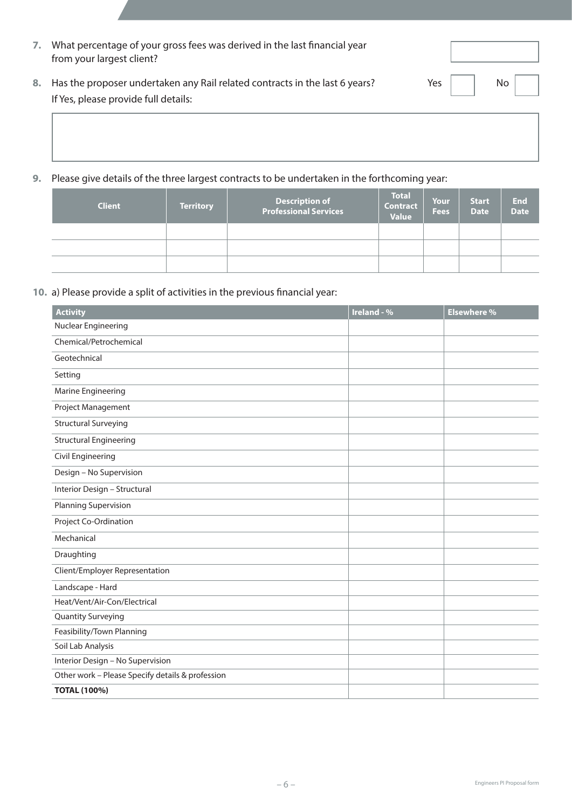| 7. | What percentage of your gross fees was derived in the last financial year<br>from your largest client?                 |             |               |
|----|------------------------------------------------------------------------------------------------------------------------|-------------|---------------|
|    | 8. Has the proposer undertaken any Rail related contracts in the last 6 years?<br>If Yes, please provide full details: | Yes $\vert$ | $\mathsf{No}$ |

**9.** Please give details of the three largest contracts to be undertaken in the forthcoming year:

| <b>Client</b> | <b>Territory</b> | <b>Description of</b><br><b>Professional Services</b> | <b>Total</b><br><b>Contract</b><br><b>Value</b> | <b>Your</b><br><b>Fees</b> | <b>Start</b><br><b>Date</b> | <b>End</b><br><b>Date</b> |
|---------------|------------------|-------------------------------------------------------|-------------------------------------------------|----------------------------|-----------------------------|---------------------------|
|               |                  |                                                       |                                                 |                            |                             |                           |
|               |                  |                                                       |                                                 |                            |                             |                           |
|               |                  |                                                       |                                                 |                            |                             |                           |

### **10.** a) Please provide a split of activities in the previous financial year:

| <b>Activity</b>                                  | Ireland - % | <b>Elsewhere %</b> |
|--------------------------------------------------|-------------|--------------------|
| Nuclear Engineering                              |             |                    |
| Chemical/Petrochemical                           |             |                    |
| Geotechnical                                     |             |                    |
| Setting                                          |             |                    |
| Marine Engineering                               |             |                    |
| Project Management                               |             |                    |
| <b>Structural Surveying</b>                      |             |                    |
| <b>Structural Engineering</b>                    |             |                    |
| Civil Engineering                                |             |                    |
| Design - No Supervision                          |             |                    |
| Interior Design - Structural                     |             |                    |
| Planning Supervision                             |             |                    |
| Project Co-Ordination                            |             |                    |
| Mechanical                                       |             |                    |
| Draughting                                       |             |                    |
| Client/Employer Representation                   |             |                    |
| Landscape - Hard                                 |             |                    |
| Heat/Vent/Air-Con/Electrical                     |             |                    |
| <b>Quantity Surveying</b>                        |             |                    |
| Feasibility/Town Planning                        |             |                    |
| Soil Lab Analysis                                |             |                    |
| Interior Design - No Supervision                 |             |                    |
| Other work - Please Specify details & profession |             |                    |
| <b>TOTAL (100%)</b>                              |             |                    |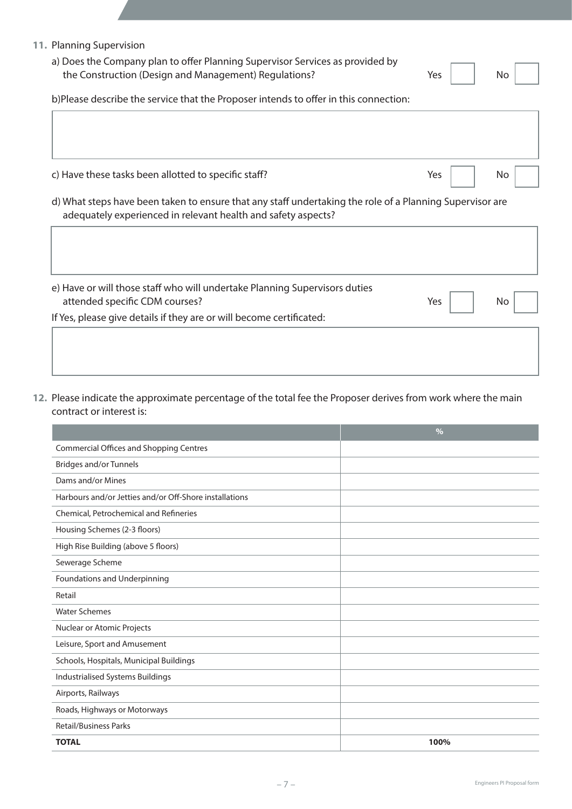| 11. Planning Supervision<br>a) Does the Company plan to offer Planning Supervisor Services as provided by<br>the Construction (Design and Management) Regulations? | Yes | N <sub>o</sub> |
|--------------------------------------------------------------------------------------------------------------------------------------------------------------------|-----|----------------|
| b)Please describe the service that the Proposer intends to offer in this connection:                                                                               |     |                |
|                                                                                                                                                                    |     |                |
|                                                                                                                                                                    |     |                |
|                                                                                                                                                                    |     |                |
| c) Have these tasks been allotted to specific staff?                                                                                                               | Yes | No.            |
| adequately experienced in relevant health and safety aspects?                                                                                                      |     |                |
| d) What steps have been taken to ensure that any staff undertaking the role of a Planning Supervisor are                                                           |     |                |
|                                                                                                                                                                    |     |                |
| e) Have or will those staff who will undertake Planning Supervisors duties<br>attended specific CDM courses?                                                       | Yes | No.            |

**12.** Please indicate the approximate percentage of the total fee the Proposer derives from work where the main contract or interest is:

|                                                        | $\frac{0}{0}$ |
|--------------------------------------------------------|---------------|
| <b>Commercial Offices and Shopping Centres</b>         |               |
| <b>Bridges and/or Tunnels</b>                          |               |
| Dams and/or Mines                                      |               |
| Harbours and/or Jetties and/or Off-Shore installations |               |
| Chemical, Petrochemical and Refineries                 |               |
| Housing Schemes (2-3 floors)                           |               |
| High Rise Building (above 5 floors)                    |               |
| Sewerage Scheme                                        |               |
| Foundations and Underpinning                           |               |
| Retail                                                 |               |
| <b>Water Schemes</b>                                   |               |
| Nuclear or Atomic Projects                             |               |
| Leisure, Sport and Amusement                           |               |
| Schools, Hospitals, Municipal Buildings                |               |
| Industrialised Systems Buildings                       |               |
| Airports, Railways                                     |               |
| Roads, Highways or Motorways                           |               |
| <b>Retail/Business Parks</b>                           |               |
| <b>TOTAL</b>                                           | 100%          |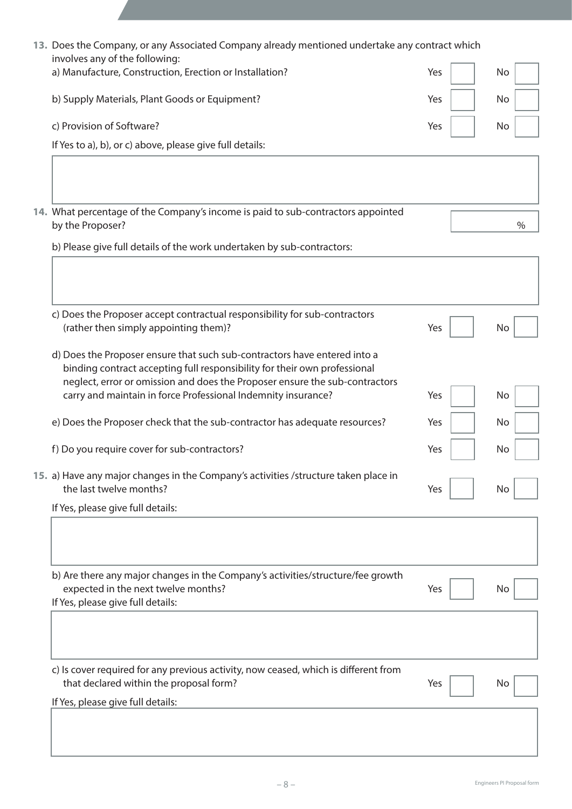| 13. Does the Company, or any Associated Company already mentioned undertake any contract which<br>involves any of the following:                                                                                                      |     |    |      |
|---------------------------------------------------------------------------------------------------------------------------------------------------------------------------------------------------------------------------------------|-----|----|------|
| a) Manufacture, Construction, Erection or Installation?                                                                                                                                                                               | Yes | No |      |
| b) Supply Materials, Plant Goods or Equipment?                                                                                                                                                                                        | Yes | No |      |
| c) Provision of Software?                                                                                                                                                                                                             | Yes | No |      |
| If Yes to a), b), or c) above, please give full details:                                                                                                                                                                              |     |    |      |
|                                                                                                                                                                                                                                       |     |    |      |
| 14. What percentage of the Company's income is paid to sub-contractors appointed<br>by the Proposer?                                                                                                                                  |     |    | $\%$ |
| b) Please give full details of the work undertaken by sub-contractors:                                                                                                                                                                |     |    |      |
|                                                                                                                                                                                                                                       |     |    |      |
| c) Does the Proposer accept contractual responsibility for sub-contractors<br>(rather then simply appointing them)?                                                                                                                   | Yes | No |      |
| d) Does the Proposer ensure that such sub-contractors have entered into a<br>binding contract accepting full responsibility for their own professional<br>neglect, error or omission and does the Proposer ensure the sub-contractors |     |    |      |
| carry and maintain in force Professional Indemnity insurance?                                                                                                                                                                         | Yes | No |      |
| e) Does the Proposer check that the sub-contractor has adequate resources?                                                                                                                                                            | Yes | No |      |
| f) Do you require cover for sub-contractors?                                                                                                                                                                                          | Yes | No |      |
| 15. a) Have any major changes in the Company's activities /structure taken place in<br>the last twelve months?                                                                                                                        | Yes | No |      |
| If Yes, please give full details:                                                                                                                                                                                                     |     |    |      |
|                                                                                                                                                                                                                                       |     |    |      |
| b) Are there any major changes in the Company's activities/structure/fee growth<br>expected in the next twelve months?<br>If Yes, please give full details:                                                                           | Yes | No |      |
|                                                                                                                                                                                                                                       |     |    |      |
| c) Is cover required for any previous activity, now ceased, which is different from<br>that declared within the proposal form?                                                                                                        | Yes | No |      |
| If Yes, please give full details:                                                                                                                                                                                                     |     |    |      |
|                                                                                                                                                                                                                                       |     |    |      |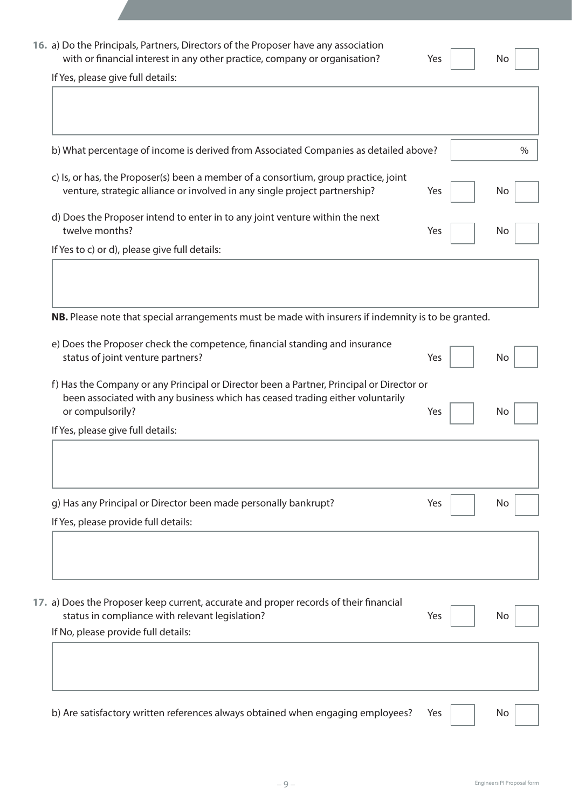|                                                                                                                                                                           | Yes | No  |  |
|---------------------------------------------------------------------------------------------------------------------------------------------------------------------------|-----|-----|--|
| If Yes, please give full details:                                                                                                                                         |     |     |  |
| b) What percentage of income is derived from Associated Companies as detailed above?                                                                                      |     |     |  |
| c) Is, or has, the Proposer(s) been a member of a consortium, group practice, joint<br>venture, strategic alliance or involved in any single project partnership?         | Yes | No  |  |
| d) Does the Proposer intend to enter in to any joint venture within the next<br>twelve months?                                                                            | Yes | No  |  |
| If Yes to c) or d), please give full details:                                                                                                                             |     |     |  |
|                                                                                                                                                                           |     |     |  |
| NB. Please note that special arrangements must be made with insurers if indemnity is to be granted.                                                                       |     |     |  |
| e) Does the Proposer check the competence, financial standing and insurance<br>status of joint venture partners?                                                          | Yes | No  |  |
| f) Has the Company or any Principal or Director been a Partner, Principal or Director or<br>been associated with any business which has ceased trading either voluntarily |     |     |  |
| or compulsorily?<br>If Yes, please give full details:                                                                                                                     | Yes | No. |  |
|                                                                                                                                                                           |     |     |  |
| g) Has any Principal or Director been made personally bankrupt?                                                                                                           | Yes | No  |  |
| If Yes, please provide full details:                                                                                                                                      |     |     |  |
|                                                                                                                                                                           |     |     |  |
|                                                                                                                                                                           | Yes | No. |  |
| status in compliance with relevant legislation?                                                                                                                           |     |     |  |
|                                                                                                                                                                           |     |     |  |
| 17. a) Does the Proposer keep current, accurate and proper records of their financial<br>If No, please provide full details:                                              |     |     |  |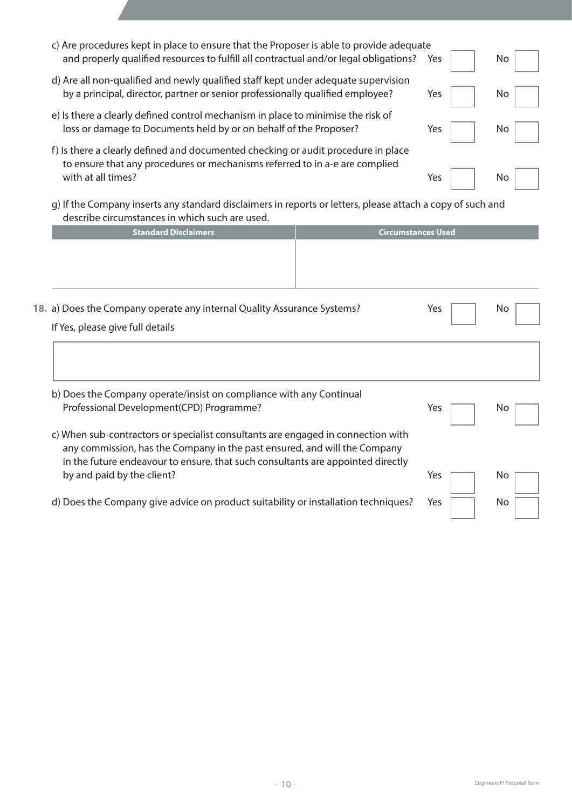| c) Are procedures kept in place to ensure that the Proposer is able to provide adequate<br>and properly qualified resources to fulfill all contractual and/or legal obligations?       |                           | <b>Yes</b> | No  |
|----------------------------------------------------------------------------------------------------------------------------------------------------------------------------------------|---------------------------|------------|-----|
| d) Are all non-qualified and newly qualified staff kept under adequate supervision<br>by a principal, director, partner or senior professionally qualified employee?                   |                           | Yes        | No. |
| e) Is there a clearly defined control mechanism in place to minimise the risk of<br>loss or damage to Documents held by or on behalf of the Proposer?                                  |                           | Yes        | No. |
| f) Is there a clearly defined and documented checking or audit procedure in place<br>to ensure that any procedures or mechanisms referred to in a-e are complied<br>with at all times? |                           | Yes        | No  |
| g) If the Company inserts any standard disclaimers in reports or letters, please attach a copy of such and<br>describe circumstances in which such are used.                           |                           |            |     |
| <b>Standard Disclaimers</b>                                                                                                                                                            | <b>Circumstances Used</b> |            |     |
|                                                                                                                                                                                        |                           |            |     |
| 18. a) Does the Company operate any internal Quality Assurance Systems?                                                                                                                |                           | Yes        | No  |
| If Yes, please give full details                                                                                                                                                       |                           |            |     |
|                                                                                                                                                                                        |                           |            |     |
| b) Does the Company operate/insist on compliance with any Continual                                                                                                                    |                           |            |     |

- c) When sub-contractors or specialist consultants are engaged in connection with any commission, has the Company in the past ensured, and will the Company in the future endeavour to ensure, that such consultants are appointed directly by and paid by the client? No
- d) Does the Company give advice on product suitability or installation techniques? Yes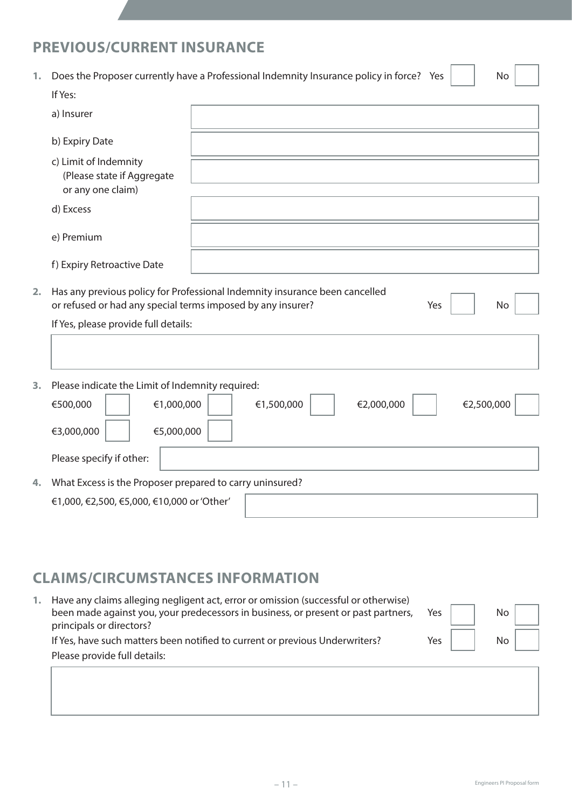# **PREVIOUS/CURRENT INSURANCE**

| 1. | Does the Proposer currently have a Professional Indemnity Insurance policy in force? Yes                                                   |            |            |     | No         |  |
|----|--------------------------------------------------------------------------------------------------------------------------------------------|------------|------------|-----|------------|--|
|    | If Yes:                                                                                                                                    |            |            |     |            |  |
|    | a) Insurer                                                                                                                                 |            |            |     |            |  |
|    | b) Expiry Date                                                                                                                             |            |            |     |            |  |
|    | c) Limit of Indemnity<br>(Please state if Aggregate<br>or any one claim)                                                                   |            |            |     |            |  |
|    | d) Excess                                                                                                                                  |            |            |     |            |  |
|    | e) Premium                                                                                                                                 |            |            |     |            |  |
|    | f) Expiry Retroactive Date                                                                                                                 |            |            |     |            |  |
| 2. | Has any previous policy for Professional Indemnity insurance been cancelled<br>or refused or had any special terms imposed by any insurer? |            |            | Yes | <b>No</b>  |  |
|    | If Yes, please provide full details:                                                                                                       |            |            |     |            |  |
|    |                                                                                                                                            |            |            |     |            |  |
| 3. | Please indicate the Limit of Indemnity required:                                                                                           |            |            |     |            |  |
|    | €1,000,000<br>€500,000                                                                                                                     | €1,500,000 | €2,000,000 |     | €2,500,000 |  |
|    | €3,000,000<br>€5,000,000                                                                                                                   |            |            |     |            |  |
|    | Please specify if other:                                                                                                                   |            |            |     |            |  |
| 4. | What Excess is the Proposer prepared to carry uninsured?                                                                                   |            |            |     |            |  |
|    | €1,000, €2,500, €5,000, €10,000 or 'Other'                                                                                                 |            |            |     |            |  |

# **CLAIMS/CIRCUMSTANCES INFORMATION**

| Have any claims alleging negligent act, error or omission (successful or otherwise)<br>been made against you, your predecessors in business, or present or past partners,<br>principals or directors? | Yes | No |  |
|-------------------------------------------------------------------------------------------------------------------------------------------------------------------------------------------------------|-----|----|--|
| If Yes, have such matters been notified to current or previous Underwriters?                                                                                                                          | Yes | No |  |
| Please provide full details:                                                                                                                                                                          |     |    |  |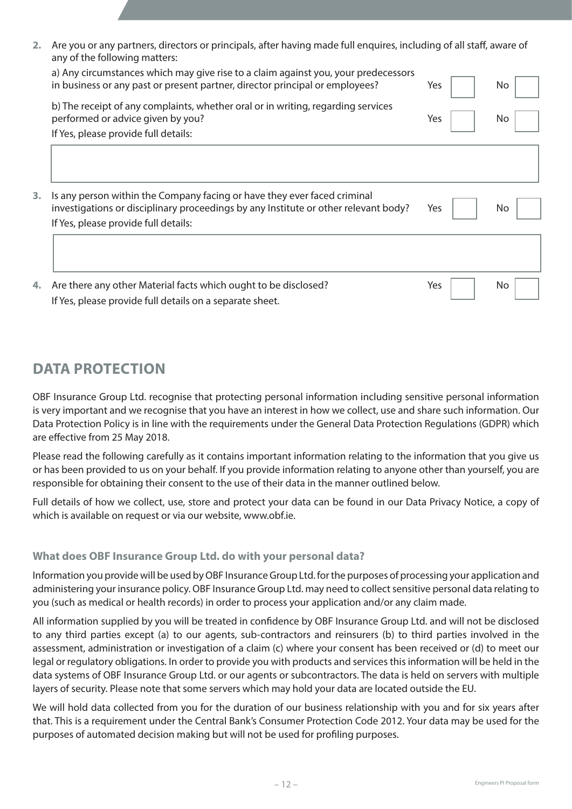| 2. Are you or any partners, directors or principals, after having made full enquires, including of all staff, aware of |
|------------------------------------------------------------------------------------------------------------------------|
| any of the following matters:                                                                                          |

| 4. | Are there any other Material facts which ought to be disclosed?<br>If Yes, please provide full details on a separate sheet.                                                                             | Yes | No. |
|----|---------------------------------------------------------------------------------------------------------------------------------------------------------------------------------------------------------|-----|-----|
|    |                                                                                                                                                                                                         |     |     |
| 3. | Is any person within the Company facing or have they ever faced criminal<br>investigations or disciplinary proceedings by any Institute or other relevant body?<br>If Yes, please provide full details: | Yes | No. |
|    | If Yes, please provide full details:                                                                                                                                                                    |     |     |
|    | b) The receipt of any complaints, whether oral or in writing, regarding services<br>performed or advice given by you?                                                                                   | Yes | No. |
|    | a) Any circumstances which may give rise to a claim against you, your predecessors<br>in business or any past or present partner, director principal or employees?                                      | Yes | No. |

# **DATA PROTECTION**

OBF Insurance Group Ltd. recognise that protecting personal information including sensitive personal information is very important and we recognise that you have an interest in how we collect, use and share such information. Our Data Protection Policy is in line with the requirements under the General Data Protection Regulations (GDPR) which are effective from 25 May 2018.

Please read the following carefully as it contains important information relating to the information that you give us or has been provided to us on your behalf. If you provide information relating to anyone other than yourself, you are responsible for obtaining their consent to the use of their data in the manner outlined below.

Full details of how we collect, use, store and protect your data can be found in our Data Privacy Notice, a copy of which is available on request or via our website, www.obf.ie.

### **What does OBF Insurance Group Ltd. do with your personal data?**

Information you provide will be used by OBF Insurance Group Ltd. for the purposes of processing your application and administering your insurance policy. OBF Insurance Group Ltd. may need to collect sensitive personal data relating to you (such as medical or health records) in order to process your application and/or any claim made.

All information supplied by you will be treated in confidence by OBF Insurance Group Ltd. and will not be disclosed to any third parties except (a) to our agents, sub-contractors and reinsurers (b) to third parties involved in the assessment, administration or investigation of a claim (c) where your consent has been received or (d) to meet our legal or regulatory obligations. In order to provide you with products and services this information will be held in the data systems of OBF Insurance Group Ltd. or our agents or subcontractors. The data is held on servers with multiple layers of security. Please note that some servers which may hold your data are located outside the EU.

We will hold data collected from you for the duration of our business relationship with you and for six years after that. This is a requirement under the Central Bank's Consumer Protection Code 2012. Your data may be used for the purposes of automated decision making but will not be used for profiling purposes.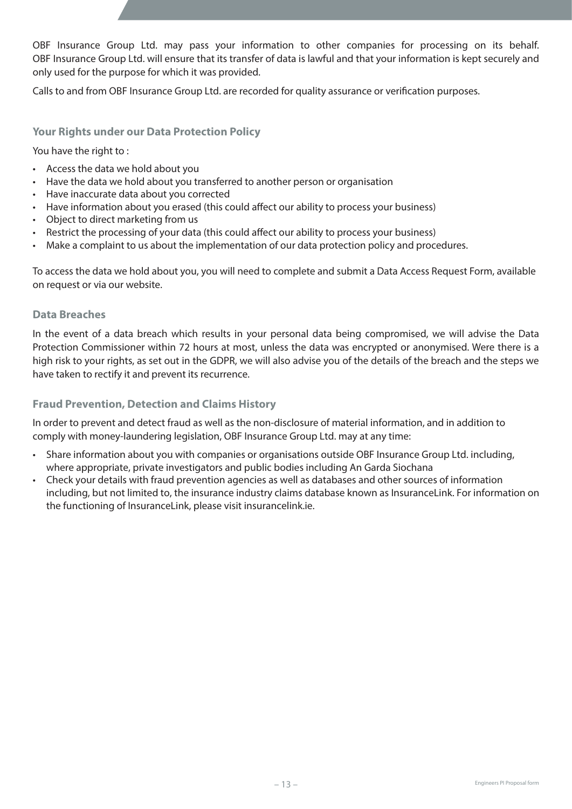OBF Insurance Group Ltd. may pass your information to other companies for processing on its behalf. OBF Insurance Group Ltd. will ensure that its transfer of data is lawful and that your information is kept securely and only used for the purpose for which it was provided.

Calls to and from OBF Insurance Group Ltd. are recorded for quality assurance or verification purposes.

### **Your Rights under our Data Protection Policy**

You have the right to :

- Access the data we hold about you
- Have the data we hold about you transferred to another person or organisation
- Have inaccurate data about you corrected
- Have information about you erased (this could affect our ability to process your business)
- Object to direct marketing from us
- Restrict the processing of your data (this could affect our ability to process your business)
- Make a complaint to us about the implementation of our data protection policy and procedures.

To access the data we hold about you, you will need to complete and submit a Data Access Request Form, available on request or via our website.

#### **Data Breaches**

In the event of a data breach which results in your personal data being compromised, we will advise the Data Protection Commissioner within 72 hours at most, unless the data was encrypted or anonymised. Were there is a high risk to your rights, as set out in the GDPR, we will also advise you of the details of the breach and the steps we have taken to rectify it and prevent its recurrence.

#### **Fraud Prevention, Detection and Claims History**

In order to prevent and detect fraud as well as the non-disclosure of material information, and in addition to comply with money-laundering legislation, OBF Insurance Group Ltd. may at any time:

- Share information about you with companies or organisations outside OBF Insurance Group Ltd. including, where appropriate, private investigators and public bodies including An Garda Siochana
- Check your details with fraud prevention agencies as well as databases and other sources of information including, but not limited to, the insurance industry claims database known as InsuranceLink. For information on the functioning of InsuranceLink, please visit insurancelink.ie.